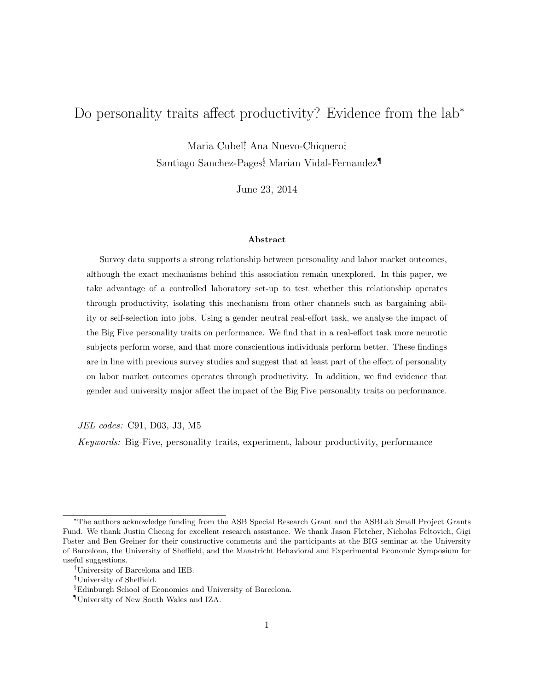# Do personality traits affect productivity? Evidence from the lab<sup>∗</sup>

Maria Cubel<sup>†</sup>, Ana Nuevo-Chiquero<sup>‡</sup>

Santiago Sanchez-Pages§ , Marian Vidal-Fernandez¶

June 23, 2014

#### Abstract

Survey data supports a strong relationship between personality and labor market outcomes, although the exact mechanisms behind this association remain unexplored. In this paper, we take advantage of a controlled laboratory set-up to test whether this relationship operates through productivity, isolating this mechanism from other channels such as bargaining ability or self-selection into jobs. Using a gender neutral real-effort task, we analyse the impact of the Big Five personality traits on performance. We find that in a real-effort task more neurotic subjects perform worse, and that more conscientious individuals perform better. These findings are in line with previous survey studies and suggest that at least part of the effect of personality on labor market outcomes operates through productivity. In addition, we find evidence that gender and university major affect the impact of the Big Five personality traits on performance.

JEL codes: C91, D03, J3, M5

Keywords: Big-Five, personality traits, experiment, labour productivity, performance

<sup>∗</sup>The authors acknowledge funding from the ASB Special Research Grant and the ASBLab Small Project Grants Fund. We thank Justin Cheong for excellent research assistance. We thank Jason Fletcher, Nicholas Feltovich, Gigi Foster and Ben Greiner for their constructive comments and the participants at the BIG seminar at the University of Barcelona, the University of Sheffield, and the Maastricht Behavioral and Experimental Economic Symposium for useful suggestions.

<sup>†</sup>University of Barcelona and IEB.

<sup>‡</sup>University of Sheffield.

<sup>§</sup>Edinburgh School of Economics and University of Barcelona.

<sup>¶</sup>University of New South Wales and IZA.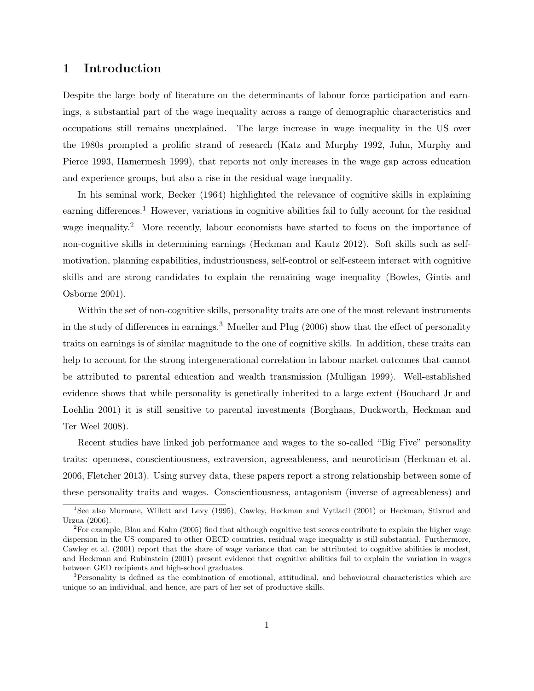# 1 Introduction

Despite the large body of literature on the determinants of labour force participation and earnings, a substantial part of the wage inequality across a range of demographic characteristics and occupations still remains unexplained. The large increase in wage inequality in the US over the 1980s prompted a prolific strand of research (Katz and Murphy 1992, Juhn, Murphy and Pierce 1993, Hamermesh 1999), that reports not only increases in the wage gap across education and experience groups, but also a rise in the residual wage inequality.

In his seminal work, Becker (1964) highlighted the relevance of cognitive skills in explaining earning differences.<sup>1</sup> However, variations in cognitive abilities fail to fully account for the residual wage inequality.<sup>2</sup> More recently, labour economists have started to focus on the importance of non-cognitive skills in determining earnings (Heckman and Kautz 2012). Soft skills such as selfmotivation, planning capabilities, industriousness, self-control or self-esteem interact with cognitive skills and are strong candidates to explain the remaining wage inequality (Bowles, Gintis and Osborne 2001).

Within the set of non-cognitive skills, personality traits are one of the most relevant instruments in the study of differences in earnings.<sup>3</sup> Mueller and Plug  $(2006)$  show that the effect of personality traits on earnings is of similar magnitude to the one of cognitive skills. In addition, these traits can help to account for the strong intergenerational correlation in labour market outcomes that cannot be attributed to parental education and wealth transmission (Mulligan 1999). Well-established evidence shows that while personality is genetically inherited to a large extent (Bouchard Jr and Loehlin 2001) it is still sensitive to parental investments (Borghans, Duckworth, Heckman and Ter Weel 2008).

Recent studies have linked job performance and wages to the so-called "Big Five" personality traits: openness, conscientiousness, extraversion, agreeableness, and neuroticism (Heckman et al. 2006, Fletcher 2013). Using survey data, these papers report a strong relationship between some of these personality traits and wages. Conscientiousness, antagonism (inverse of agreeableness) and

<sup>1</sup>See also Murnane, Willett and Levy (1995), Cawley, Heckman and Vytlacil (2001) or Heckman, Stixrud and Urzua (2006).

 $^{2}$ For example, Blau and Kahn (2005) find that although cognitive test scores contribute to explain the higher wage dispersion in the US compared to other OECD countries, residual wage inequality is still substantial. Furthermore, Cawley et al. (2001) report that the share of wage variance that can be attributed to cognitive abilities is modest, and Heckman and Rubinstein (2001) present evidence that cognitive abilities fail to explain the variation in wages between GED recipients and high-school graduates.

<sup>3</sup>Personality is defined as the combination of emotional, attitudinal, and behavioural characteristics which are unique to an individual, and hence, are part of her set of productive skills.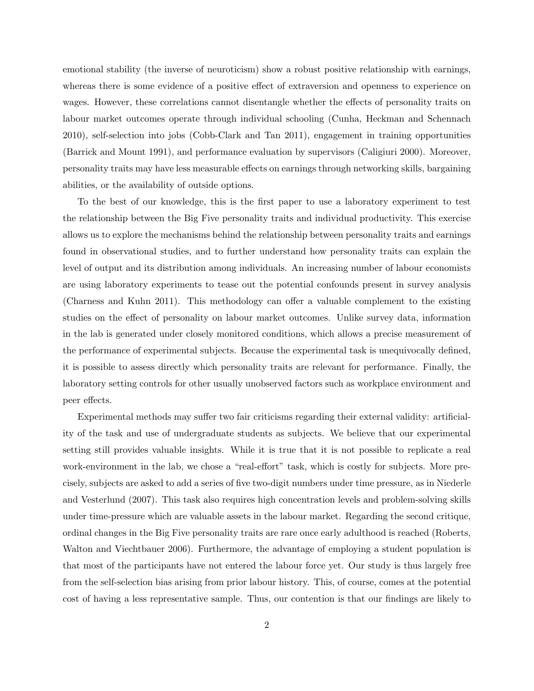emotional stability (the inverse of neuroticism) show a robust positive relationship with earnings, whereas there is some evidence of a positive effect of extraversion and openness to experience on wages. However, these correlations cannot disentangle whether the effects of personality traits on labour market outcomes operate through individual schooling (Cunha, Heckman and Schennach 2010), self-selection into jobs (Cobb-Clark and Tan 2011), engagement in training opportunities (Barrick and Mount 1991), and performance evaluation by supervisors (Caligiuri 2000). Moreover, personality traits may have less measurable effects on earnings through networking skills, bargaining abilities, or the availability of outside options.

To the best of our knowledge, this is the first paper to use a laboratory experiment to test the relationship between the Big Five personality traits and individual productivity. This exercise allows us to explore the mechanisms behind the relationship between personality traits and earnings found in observational studies, and to further understand how personality traits can explain the level of output and its distribution among individuals. An increasing number of labour economists are using laboratory experiments to tease out the potential confounds present in survey analysis (Charness and Kuhn 2011). This methodology can offer a valuable complement to the existing studies on the effect of personality on labour market outcomes. Unlike survey data, information in the lab is generated under closely monitored conditions, which allows a precise measurement of the performance of experimental subjects. Because the experimental task is unequivocally defined, it is possible to assess directly which personality traits are relevant for performance. Finally, the laboratory setting controls for other usually unobserved factors such as workplace environment and peer effects.

Experimental methods may suffer two fair criticisms regarding their external validity: artificiality of the task and use of undergraduate students as subjects. We believe that our experimental setting still provides valuable insights. While it is true that it is not possible to replicate a real work-environment in the lab, we chose a "real-effort" task, which is costly for subjects. More precisely, subjects are asked to add a series of five two-digit numbers under time pressure, as in Niederle and Vesterlund (2007). This task also requires high concentration levels and problem-solving skills under time-pressure which are valuable assets in the labour market. Regarding the second critique, ordinal changes in the Big Five personality traits are rare once early adulthood is reached (Roberts, Walton and Viechtbauer 2006). Furthermore, the advantage of employing a student population is that most of the participants have not entered the labour force yet. Our study is thus largely free from the self-selection bias arising from prior labour history. This, of course, comes at the potential cost of having a less representative sample. Thus, our contention is that our findings are likely to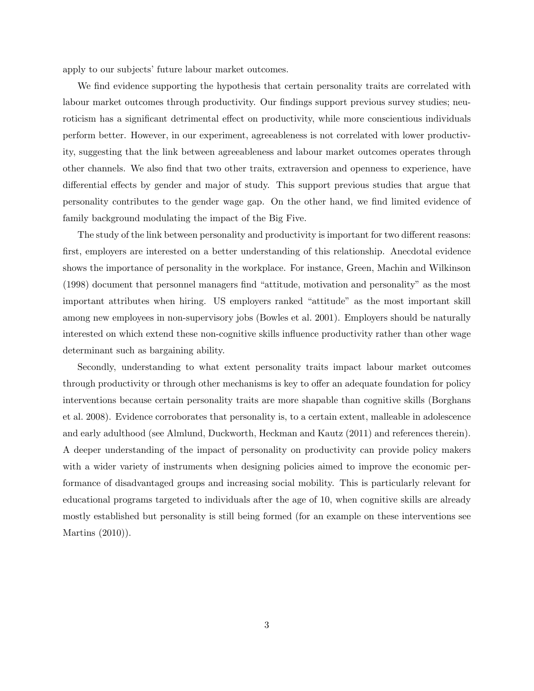apply to our subjects' future labour market outcomes.

We find evidence supporting the hypothesis that certain personality traits are correlated with labour market outcomes through productivity. Our findings support previous survey studies; neuroticism has a significant detrimental effect on productivity, while more conscientious individuals perform better. However, in our experiment, agreeableness is not correlated with lower productivity, suggesting that the link between agreeableness and labour market outcomes operates through other channels. We also find that two other traits, extraversion and openness to experience, have differential effects by gender and major of study. This support previous studies that argue that personality contributes to the gender wage gap. On the other hand, we find limited evidence of family background modulating the impact of the Big Five.

The study of the link between personality and productivity is important for two different reasons: first, employers are interested on a better understanding of this relationship. Anecdotal evidence shows the importance of personality in the workplace. For instance, Green, Machin and Wilkinson (1998) document that personnel managers find "attitude, motivation and personality" as the most important attributes when hiring. US employers ranked "attitude" as the most important skill among new employees in non-supervisory jobs (Bowles et al. 2001). Employers should be naturally interested on which extend these non-cognitive skills influence productivity rather than other wage determinant such as bargaining ability.

Secondly, understanding to what extent personality traits impact labour market outcomes through productivity or through other mechanisms is key to offer an adequate foundation for policy interventions because certain personality traits are more shapable than cognitive skills (Borghans et al. 2008). Evidence corroborates that personality is, to a certain extent, malleable in adolescence and early adulthood (see Almlund, Duckworth, Heckman and Kautz (2011) and references therein). A deeper understanding of the impact of personality on productivity can provide policy makers with a wider variety of instruments when designing policies aimed to improve the economic performance of disadvantaged groups and increasing social mobility. This is particularly relevant for educational programs targeted to individuals after the age of 10, when cognitive skills are already mostly established but personality is still being formed (for an example on these interventions see Martins (2010)).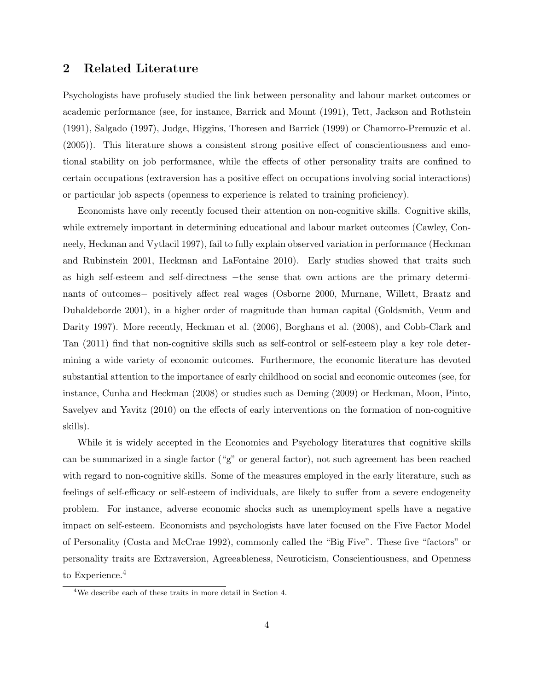# 2 Related Literature

Psychologists have profusely studied the link between personality and labour market outcomes or academic performance (see, for instance, Barrick and Mount (1991), Tett, Jackson and Rothstein (1991), Salgado (1997), Judge, Higgins, Thoresen and Barrick (1999) or Chamorro-Premuzic et al. (2005)). This literature shows a consistent strong positive effect of conscientiousness and emotional stability on job performance, while the effects of other personality traits are confined to certain occupations (extraversion has a positive effect on occupations involving social interactions) or particular job aspects (openness to experience is related to training proficiency).

Economists have only recently focused their attention on non-cognitive skills. Cognitive skills, while extremely important in determining educational and labour market outcomes (Cawley, Conneely, Heckman and Vytlacil 1997), fail to fully explain observed variation in performance (Heckman and Rubinstein 2001, Heckman and LaFontaine 2010). Early studies showed that traits such as high self-esteem and self-directness −the sense that own actions are the primary determinants of outcomes− positively affect real wages (Osborne 2000, Murnane, Willett, Braatz and Duhaldeborde 2001), in a higher order of magnitude than human capital (Goldsmith, Veum and Darity 1997). More recently, Heckman et al. (2006), Borghans et al. (2008), and Cobb-Clark and Tan (2011) find that non-cognitive skills such as self-control or self-esteem play a key role determining a wide variety of economic outcomes. Furthermore, the economic literature has devoted substantial attention to the importance of early childhood on social and economic outcomes (see, for instance, Cunha and Heckman (2008) or studies such as Deming (2009) or Heckman, Moon, Pinto, Savelyev and Yavitz (2010) on the effects of early interventions on the formation of non-cognitive skills).

While it is widely accepted in the Economics and Psychology literatures that cognitive skills can be summarized in a single factor ("g" or general factor), not such agreement has been reached with regard to non-cognitive skills. Some of the measures employed in the early literature, such as feelings of self-efficacy or self-esteem of individuals, are likely to suffer from a severe endogeneity problem. For instance, adverse economic shocks such as unemployment spells have a negative impact on self-esteem. Economists and psychologists have later focused on the Five Factor Model of Personality (Costa and McCrae 1992), commonly called the "Big Five". These five "factors" or personality traits are Extraversion, Agreeableness, Neuroticism, Conscientiousness, and Openness to Experience.<sup>4</sup>

<sup>4</sup>We describe each of these traits in more detail in Section 4.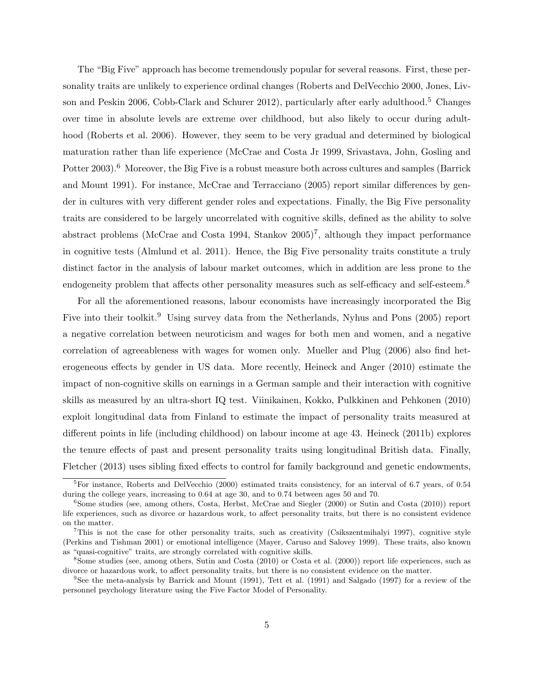The "Big Five" approach has become tremendously popular for several reasons. First, these personality traits are unlikely to experience ordinal changes (Roberts and DelVecchio 2000, Jones, Livson and Peskin 2006, Cobb-Clark and Schurer 2012), particularly after early adulthood.<sup>5</sup> Changes over time in absolute levels are extreme over childhood, but also likely to occur during adulthood (Roberts et al. 2006). However, they seem to be very gradual and determined by biological maturation rather than life experience (McCrae and Costa Jr 1999, Srivastava, John, Gosling and Potter 2003).<sup>6</sup> Moreover, the Big Five is a robust measure both across cultures and samples (Barrick and Mount 1991). For instance, McCrae and Terracciano (2005) report similar differences by gender in cultures with very different gender roles and expectations. Finally, the Big Five personality traits are considered to be largely uncorrelated with cognitive skills, defined as the ability to solve abstract problems (McCrae and Costa 1994, Stankov  $2005$ )<sup>7</sup>, although they impact performance in cognitive tests (Almlund et al. 2011). Hence, the Big Five personality traits constitute a truly distinct factor in the analysis of labour market outcomes, which in addition are less prone to the endogeneity problem that affects other personality measures such as self-efficacy and self-esteem.<sup>8</sup>

For all the aforementioned reasons, labour economists have increasingly incorporated the Big Five into their toolkit.<sup>9</sup> Using survey data from the Netherlands, Nyhus and Pons (2005) report a negative correlation between neuroticism and wages for both men and women, and a negative correlation of agreeableness with wages for women only. Mueller and Plug (2006) also find heterogeneous effects by gender in US data. More recently, Heineck and Anger (2010) estimate the impact of non-cognitive skills on earnings in a German sample and their interaction with cognitive skills as measured by an ultra-short IQ test. Viinikainen, Kokko, Pulkkinen and Pehkonen (2010) exploit longitudinal data from Finland to estimate the impact of personality traits measured at different points in life (including childhood) on labour income at age 43. Heineck (2011b) explores the tenure effects of past and present personality traits using longitudinal British data. Finally, Fletcher (2013) uses sibling fixed effects to control for family background and genetic endowments,

 ${}^{5}$ For instance, Roberts and DelVecchio (2000) estimated traits consistency, for an interval of 6.7 years, of 0.54 during the college years, increasing to 0.64 at age 30, and to 0.74 between ages 50 and 70.

<sup>&</sup>lt;sup>6</sup>Some studies (see, among others, Costa, Herbst, McCrae and Siegler (2000) or Sutin and Costa (2010)) report life experiences, such as divorce or hazardous work, to affect personality traits, but there is no consistent evidence on the matter.

<sup>&</sup>lt;sup>7</sup>This is not the case for other personality traits, such as creativity (Csikszentmihalyi 1997), cognitive style (Perkins and Tishman 2001) or emotional intelligence (Mayer, Caruso and Salovey 1999). These traits, also known as "quasi-cognitive" traits, are strongly correlated with cognitive skills.

<sup>8</sup>Some studies (see, among others, Sutin and Costa (2010) or Costa et al. (2000)) report life experiences, such as divorce or hazardous work, to affect personality traits, but there is no consistent evidence on the matter.

<sup>9</sup>See the meta-analysis by Barrick and Mount (1991), Tett et al. (1991) and Salgado (1997) for a review of the personnel psychology literature using the Five Factor Model of Personality.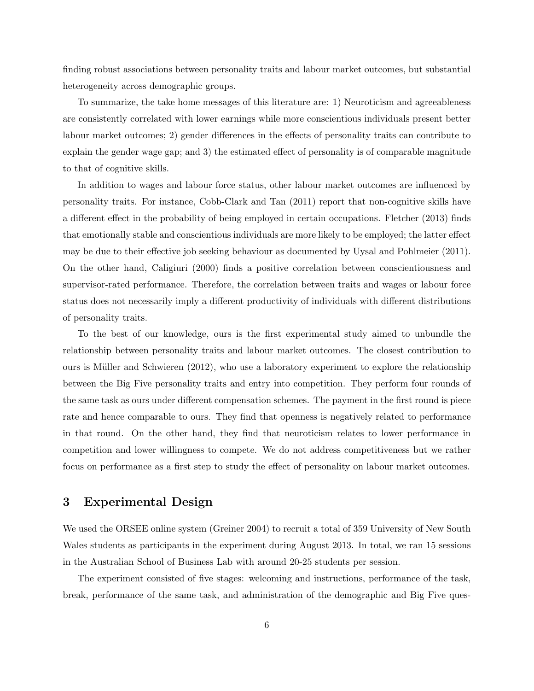finding robust associations between personality traits and labour market outcomes, but substantial heterogeneity across demographic groups.

To summarize, the take home messages of this literature are: 1) Neuroticism and agreeableness are consistently correlated with lower earnings while more conscientious individuals present better labour market outcomes; 2) gender differences in the effects of personality traits can contribute to explain the gender wage gap; and 3) the estimated effect of personality is of comparable magnitude to that of cognitive skills.

In addition to wages and labour force status, other labour market outcomes are influenced by personality traits. For instance, Cobb-Clark and Tan (2011) report that non-cognitive skills have a different effect in the probability of being employed in certain occupations. Fletcher (2013) finds that emotionally stable and conscientious individuals are more likely to be employed; the latter effect may be due to their effective job seeking behaviour as documented by Uysal and Pohlmeier (2011). On the other hand, Caligiuri (2000) finds a positive correlation between conscientiousness and supervisor-rated performance. Therefore, the correlation between traits and wages or labour force status does not necessarily imply a different productivity of individuals with different distributions of personality traits.

To the best of our knowledge, ours is the first experimental study aimed to unbundle the relationship between personality traits and labour market outcomes. The closest contribution to ours is Müller and Schwieren (2012), who use a laboratory experiment to explore the relationship between the Big Five personality traits and entry into competition. They perform four rounds of the same task as ours under different compensation schemes. The payment in the first round is piece rate and hence comparable to ours. They find that openness is negatively related to performance in that round. On the other hand, they find that neuroticism relates to lower performance in competition and lower willingness to compete. We do not address competitiveness but we rather focus on performance as a first step to study the effect of personality on labour market outcomes.

# 3 Experimental Design

We used the ORSEE online system (Greiner 2004) to recruit a total of 359 University of New South Wales students as participants in the experiment during August 2013. In total, we ran 15 sessions in the Australian School of Business Lab with around 20-25 students per session.

The experiment consisted of five stages: welcoming and instructions, performance of the task, break, performance of the same task, and administration of the demographic and Big Five ques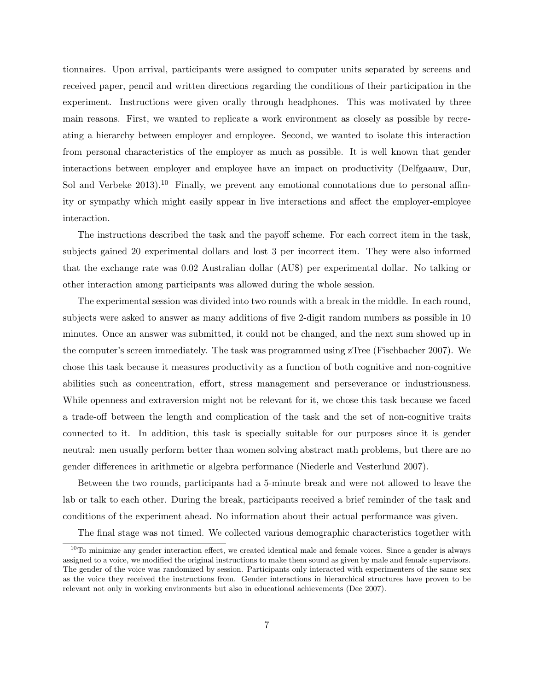tionnaires. Upon arrival, participants were assigned to computer units separated by screens and received paper, pencil and written directions regarding the conditions of their participation in the experiment. Instructions were given orally through headphones. This was motivated by three main reasons. First, we wanted to replicate a work environment as closely as possible by recreating a hierarchy between employer and employee. Second, we wanted to isolate this interaction from personal characteristics of the employer as much as possible. It is well known that gender interactions between employer and employee have an impact on productivity (Delfgaauw, Dur, Sol and Verbeke  $2013$ .<sup>10</sup> Finally, we prevent any emotional connotations due to personal affinity or sympathy which might easily appear in live interactions and affect the employer-employee interaction.

The instructions described the task and the payoff scheme. For each correct item in the task, subjects gained 20 experimental dollars and lost 3 per incorrect item. They were also informed that the exchange rate was 0.02 Australian dollar (AU\$) per experimental dollar. No talking or other interaction among participants was allowed during the whole session.

The experimental session was divided into two rounds with a break in the middle. In each round, subjects were asked to answer as many additions of five 2-digit random numbers as possible in 10 minutes. Once an answer was submitted, it could not be changed, and the next sum showed up in the computer's screen immediately. The task was programmed using zTree (Fischbacher 2007). We chose this task because it measures productivity as a function of both cognitive and non-cognitive abilities such as concentration, effort, stress management and perseverance or industriousness. While openness and extraversion might not be relevant for it, we chose this task because we faced a trade-off between the length and complication of the task and the set of non-cognitive traits connected to it. In addition, this task is specially suitable for our purposes since it is gender neutral: men usually perform better than women solving abstract math problems, but there are no gender differences in arithmetic or algebra performance (Niederle and Vesterlund 2007).

Between the two rounds, participants had a 5-minute break and were not allowed to leave the lab or talk to each other. During the break, participants received a brief reminder of the task and conditions of the experiment ahead. No information about their actual performance was given.

The final stage was not timed. We collected various demographic characteristics together with

 $10$ To minimize any gender interaction effect, we created identical male and female voices. Since a gender is always assigned to a voice, we modified the original instructions to make them sound as given by male and female supervisors. The gender of the voice was randomized by session. Participants only interacted with experimenters of the same sex as the voice they received the instructions from. Gender interactions in hierarchical structures have proven to be relevant not only in working environments but also in educational achievements (Dee 2007).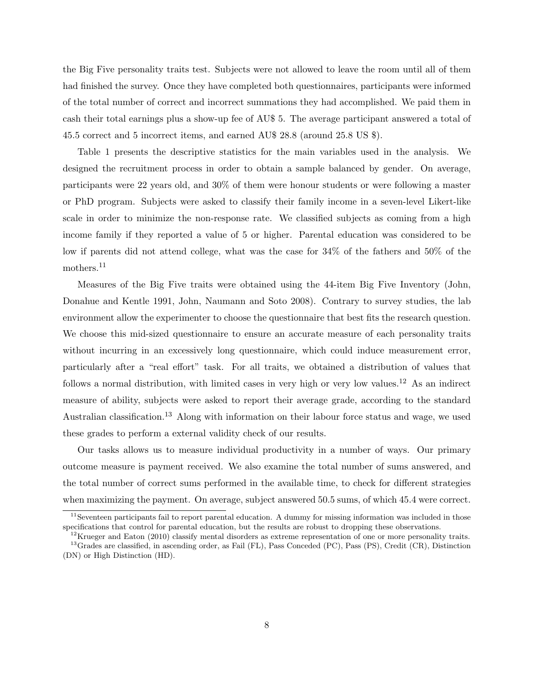the Big Five personality traits test. Subjects were not allowed to leave the room until all of them had finished the survey. Once they have completed both questionnaires, participants were informed of the total number of correct and incorrect summations they had accomplished. We paid them in cash their total earnings plus a show-up fee of AU\$ 5. The average participant answered a total of 45.5 correct and 5 incorrect items, and earned AU\$ 28.8 (around 25.8 US \$).

Table 1 presents the descriptive statistics for the main variables used in the analysis. We designed the recruitment process in order to obtain a sample balanced by gender. On average, participants were 22 years old, and 30% of them were honour students or were following a master or PhD program. Subjects were asked to classify their family income in a seven-level Likert-like scale in order to minimize the non-response rate. We classified subjects as coming from a high income family if they reported a value of 5 or higher. Parental education was considered to be low if parents did not attend college, what was the case for 34% of the fathers and 50% of the mothers.<sup>11</sup>

Measures of the Big Five traits were obtained using the 44-item Big Five Inventory (John, Donahue and Kentle 1991, John, Naumann and Soto 2008). Contrary to survey studies, the lab environment allow the experimenter to choose the questionnaire that best fits the research question. We choose this mid-sized questionnaire to ensure an accurate measure of each personality traits without incurring in an excessively long questionnaire, which could induce measurement error, particularly after a "real effort" task. For all traits, we obtained a distribution of values that follows a normal distribution, with limited cases in very high or very low values.<sup>12</sup> As an indirect measure of ability, subjects were asked to report their average grade, according to the standard Australian classification.<sup>13</sup> Along with information on their labour force status and wage, we used these grades to perform a external validity check of our results.

Our tasks allows us to measure individual productivity in a number of ways. Our primary outcome measure is payment received. We also examine the total number of sums answered, and the total number of correct sums performed in the available time, to check for different strategies when maximizing the payment. On average, subject answered 50.5 sums, of which 45.4 were correct.

 $11$ Seventeen participants fail to report parental education. A dummy for missing information was included in those specifications that control for parental education, but the results are robust to dropping these observations.

 $12$ Krueger and Eaton (2010) classify mental disorders as extreme representation of one or more personality traits. <sup>13</sup>Grades are classified, in ascending order, as Fail (FL), Pass Conceded (PC), Pass (PS), Credit (CR), Distinction (DN) or High Distinction (HD).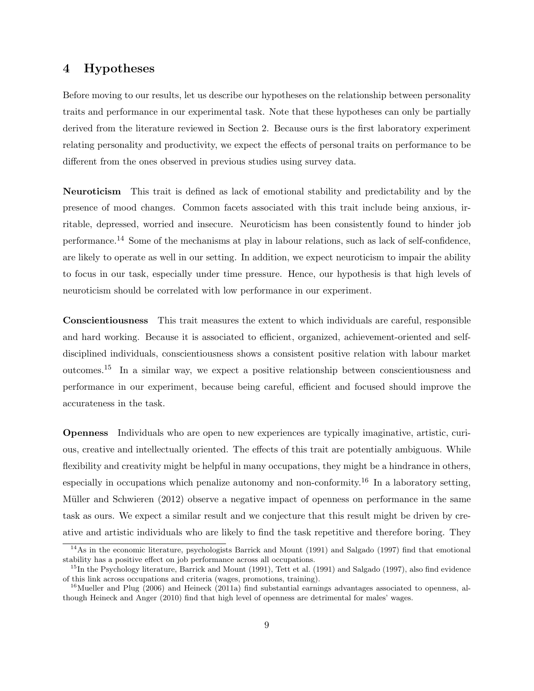# 4 Hypotheses

Before moving to our results, let us describe our hypotheses on the relationship between personality traits and performance in our experimental task. Note that these hypotheses can only be partially derived from the literature reviewed in Section 2. Because ours is the first laboratory experiment relating personality and productivity, we expect the effects of personal traits on performance to be different from the ones observed in previous studies using survey data.

Neuroticism This trait is defined as lack of emotional stability and predictability and by the presence of mood changes. Common facets associated with this trait include being anxious, irritable, depressed, worried and insecure. Neuroticism has been consistently found to hinder job performance.<sup>14</sup> Some of the mechanisms at play in labour relations, such as lack of self-confidence, are likely to operate as well in our setting. In addition, we expect neuroticism to impair the ability to focus in our task, especially under time pressure. Hence, our hypothesis is that high levels of neuroticism should be correlated with low performance in our experiment.

Conscientiousness This trait measures the extent to which individuals are careful, responsible and hard working. Because it is associated to efficient, organized, achievement-oriented and selfdisciplined individuals, conscientiousness shows a consistent positive relation with labour market outcomes.<sup>15</sup> In a similar way, we expect a positive relationship between conscientiousness and performance in our experiment, because being careful, efficient and focused should improve the accurateness in the task.

Openness Individuals who are open to new experiences are typically imaginative, artistic, curious, creative and intellectually oriented. The effects of this trait are potentially ambiguous. While flexibility and creativity might be helpful in many occupations, they might be a hindrance in others, especially in occupations which penalize autonomy and non-conformity.<sup>16</sup> In a laboratory setting, Müller and Schwieren (2012) observe a negative impact of openness on performance in the same task as ours. We expect a similar result and we conjecture that this result might be driven by creative and artistic individuals who are likely to find the task repetitive and therefore boring. They

<sup>&</sup>lt;sup>14</sup>As in the economic literature, psychologists Barrick and Mount (1991) and Salgado (1997) find that emotional stability has a positive effect on job performance across all occupations.

 $^{15}$ In the Psychology literature, Barrick and Mount (1991), Tett et al. (1991) and Salgado (1997), also find evidence of this link across occupations and criteria (wages, promotions, training).

 $16$ Mueller and Plug (2006) and Heineck (2011a) find substantial earnings advantages associated to openness, although Heineck and Anger (2010) find that high level of openness are detrimental for males' wages.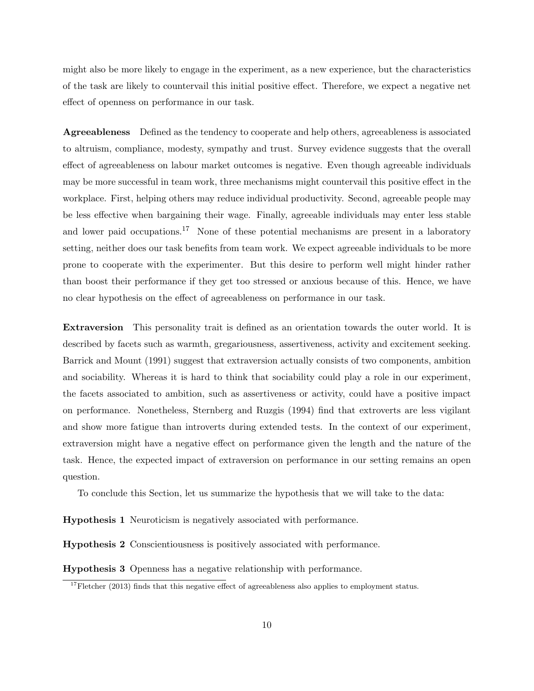might also be more likely to engage in the experiment, as a new experience, but the characteristics of the task are likely to countervail this initial positive effect. Therefore, we expect a negative net effect of openness on performance in our task.

Agreeableness Defined as the tendency to cooperate and help others, agreeableness is associated to altruism, compliance, modesty, sympathy and trust. Survey evidence suggests that the overall effect of agreeableness on labour market outcomes is negative. Even though agreeable individuals may be more successful in team work, three mechanisms might countervail this positive effect in the workplace. First, helping others may reduce individual productivity. Second, agreeable people may be less effective when bargaining their wage. Finally, agreeable individuals may enter less stable and lower paid occupations.<sup>17</sup> None of these potential mechanisms are present in a laboratory setting, neither does our task benefits from team work. We expect agreeable individuals to be more prone to cooperate with the experimenter. But this desire to perform well might hinder rather than boost their performance if they get too stressed or anxious because of this. Hence, we have no clear hypothesis on the effect of agreeableness on performance in our task.

Extraversion This personality trait is defined as an orientation towards the outer world. It is described by facets such as warmth, gregariousness, assertiveness, activity and excitement seeking. Barrick and Mount (1991) suggest that extraversion actually consists of two components, ambition and sociability. Whereas it is hard to think that sociability could play a role in our experiment, the facets associated to ambition, such as assertiveness or activity, could have a positive impact on performance. Nonetheless, Sternberg and Ruzgis (1994) find that extroverts are less vigilant and show more fatigue than introverts during extended tests. In the context of our experiment, extraversion might have a negative effect on performance given the length and the nature of the task. Hence, the expected impact of extraversion on performance in our setting remains an open question.

To conclude this Section, let us summarize the hypothesis that we will take to the data:

Hypothesis 1 Neuroticism is negatively associated with performance.

Hypothesis 2 Conscientiousness is positively associated with performance.

Hypothesis 3 Openness has a negative relationship with performance.

 $17$ Fletcher (2013) finds that this negative effect of agreeableness also applies to employment status.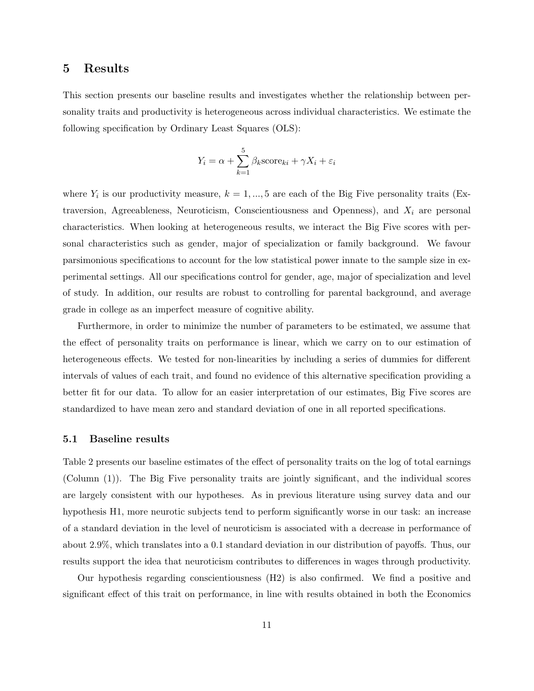### 5 Results

This section presents our baseline results and investigates whether the relationship between personality traits and productivity is heterogeneous across individual characteristics. We estimate the following specification by Ordinary Least Squares (OLS):

$$
Y_i = \alpha + \sum_{k=1}^{5} \beta_k \text{score}_{ki} + \gamma X_i + \varepsilon_i
$$

where  $Y_i$  is our productivity measure,  $k = 1, ..., 5$  are each of the Big Five personality traits (Extraversion, Agreeableness, Neuroticism, Conscientiousness and Openness), and  $X_i$  are personal characteristics. When looking at heterogeneous results, we interact the Big Five scores with personal characteristics such as gender, major of specialization or family background. We favour parsimonious specifications to account for the low statistical power innate to the sample size in experimental settings. All our specifications control for gender, age, major of specialization and level of study. In addition, our results are robust to controlling for parental background, and average grade in college as an imperfect measure of cognitive ability.

Furthermore, in order to minimize the number of parameters to be estimated, we assume that the effect of personality traits on performance is linear, which we carry on to our estimation of heterogeneous effects. We tested for non-linearities by including a series of dummies for different intervals of values of each trait, and found no evidence of this alternative specification providing a better fit for our data. To allow for an easier interpretation of our estimates, Big Five scores are standardized to have mean zero and standard deviation of one in all reported specifications.

### 5.1 Baseline results

Table 2 presents our baseline estimates of the effect of personality traits on the log of total earnings (Column (1)). The Big Five personality traits are jointly significant, and the individual scores are largely consistent with our hypotheses. As in previous literature using survey data and our hypothesis H1, more neurotic subjects tend to perform significantly worse in our task: an increase of a standard deviation in the level of neuroticism is associated with a decrease in performance of about 2.9%, which translates into a 0.1 standard deviation in our distribution of payoffs. Thus, our results support the idea that neuroticism contributes to differences in wages through productivity.

Our hypothesis regarding conscientiousness (H2) is also confirmed. We find a positive and significant effect of this trait on performance, in line with results obtained in both the Economics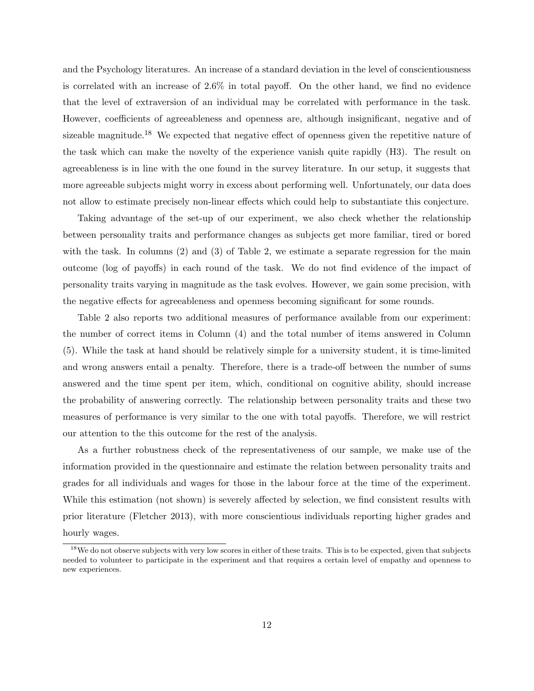and the Psychology literatures. An increase of a standard deviation in the level of conscientiousness is correlated with an increase of 2.6% in total payoff. On the other hand, we find no evidence that the level of extraversion of an individual may be correlated with performance in the task. However, coefficients of agreeableness and openness are, although insignificant, negative and of sizeable magnitude.<sup>18</sup> We expected that negative effect of openness given the repetitive nature of the task which can make the novelty of the experience vanish quite rapidly (H3). The result on agreeableness is in line with the one found in the survey literature. In our setup, it suggests that more agreeable subjects might worry in excess about performing well. Unfortunately, our data does not allow to estimate precisely non-linear effects which could help to substantiate this conjecture.

Taking advantage of the set-up of our experiment, we also check whether the relationship between personality traits and performance changes as subjects get more familiar, tired or bored with the task. In columns (2) and (3) of Table 2, we estimate a separate regression for the main outcome (log of payoffs) in each round of the task. We do not find evidence of the impact of personality traits varying in magnitude as the task evolves. However, we gain some precision, with the negative effects for agreeableness and openness becoming significant for some rounds.

Table 2 also reports two additional measures of performance available from our experiment: the number of correct items in Column (4) and the total number of items answered in Column (5). While the task at hand should be relatively simple for a university student, it is time-limited and wrong answers entail a penalty. Therefore, there is a trade-off between the number of sums answered and the time spent per item, which, conditional on cognitive ability, should increase the probability of answering correctly. The relationship between personality traits and these two measures of performance is very similar to the one with total payoffs. Therefore, we will restrict our attention to the this outcome for the rest of the analysis.

As a further robustness check of the representativeness of our sample, we make use of the information provided in the questionnaire and estimate the relation between personality traits and grades for all individuals and wages for those in the labour force at the time of the experiment. While this estimation (not shown) is severely affected by selection, we find consistent results with prior literature (Fletcher 2013), with more conscientious individuals reporting higher grades and hourly wages.

<sup>&</sup>lt;sup>18</sup>We do not observe subjects with very low scores in either of these traits. This is to be expected, given that subjects needed to volunteer to participate in the experiment and that requires a certain level of empathy and openness to new experiences.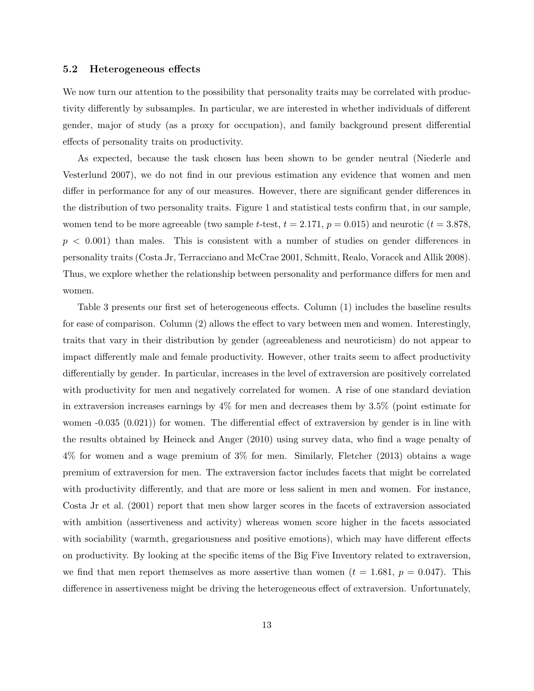### 5.2 Heterogeneous effects

We now turn our attention to the possibility that personality traits may be correlated with productivity differently by subsamples. In particular, we are interested in whether individuals of different gender, major of study (as a proxy for occupation), and family background present differential effects of personality traits on productivity.

As expected, because the task chosen has been shown to be gender neutral (Niederle and Vesterlund 2007), we do not find in our previous estimation any evidence that women and men differ in performance for any of our measures. However, there are significant gender differences in the distribution of two personality traits. Figure 1 and statistical tests confirm that, in our sample, women tend to be more agreeable (two sample t-test,  $t = 2.171$ ,  $p = 0.015$ ) and neurotic ( $t = 3.878$ ,  $p < 0.001$ ) than males. This is consistent with a number of studies on gender differences in personality traits (Costa Jr, Terracciano and McCrae 2001, Schmitt, Realo, Voracek and Allik 2008). Thus, we explore whether the relationship between personality and performance differs for men and women.

Table 3 presents our first set of heterogeneous effects. Column (1) includes the baseline results for ease of comparison. Column (2) allows the effect to vary between men and women. Interestingly, traits that vary in their distribution by gender (agreeableness and neuroticism) do not appear to impact differently male and female productivity. However, other traits seem to affect productivity differentially by gender. In particular, increases in the level of extraversion are positively correlated with productivity for men and negatively correlated for women. A rise of one standard deviation in extraversion increases earnings by 4% for men and decreases them by 3.5% (point estimate for women -0.035 (0.021)) for women. The differential effect of extraversion by gender is in line with the results obtained by Heineck and Anger (2010) using survey data, who find a wage penalty of 4% for women and a wage premium of 3% for men. Similarly, Fletcher (2013) obtains a wage premium of extraversion for men. The extraversion factor includes facets that might be correlated with productivity differently, and that are more or less salient in men and women. For instance, Costa Jr et al. (2001) report that men show larger scores in the facets of extraversion associated with ambition (assertiveness and activity) whereas women score higher in the facets associated with sociability (warmth, gregariousness and positive emotions), which may have different effects on productivity. By looking at the specific items of the Big Five Inventory related to extraversion, we find that men report themselves as more assertive than women  $(t = 1.681, p = 0.047)$ . This difference in assertiveness might be driving the heterogeneous effect of extraversion. Unfortunately,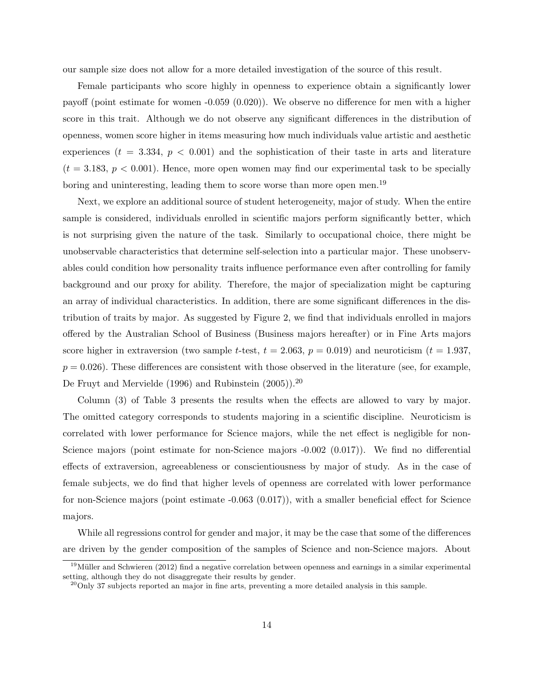our sample size does not allow for a more detailed investigation of the source of this result.

Female participants who score highly in openness to experience obtain a significantly lower payoff (point estimate for women -0.059 (0.020)). We observe no difference for men with a higher score in this trait. Although we do not observe any significant differences in the distribution of openness, women score higher in items measuring how much individuals value artistic and aesthetic experiences ( $t = 3.334$ ,  $p < 0.001$ ) and the sophistication of their taste in arts and literature  $(t = 3.183, p < 0.001)$ . Hence, more open women may find our experimental task to be specially boring and uninteresting, leading them to score worse than more open men.<sup>19</sup>

Next, we explore an additional source of student heterogeneity, major of study. When the entire sample is considered, individuals enrolled in scientific majors perform significantly better, which is not surprising given the nature of the task. Similarly to occupational choice, there might be unobservable characteristics that determine self-selection into a particular major. These unobservables could condition how personality traits influence performance even after controlling for family background and our proxy for ability. Therefore, the major of specialization might be capturing an array of individual characteristics. In addition, there are some significant differences in the distribution of traits by major. As suggested by Figure 2, we find that individuals enrolled in majors offered by the Australian School of Business (Business majors hereafter) or in Fine Arts majors score higher in extraversion (two sample t-test,  $t = 2.063$ ,  $p = 0.019$ ) and neuroticism ( $t = 1.937$ ,  $p = 0.026$ ). These differences are consistent with those observed in the literature (see, for example, De Fruyt and Mervielde (1996) and Rubinstein (2005)).<sup>20</sup>

Column (3) of Table 3 presents the results when the effects are allowed to vary by major. The omitted category corresponds to students majoring in a scientific discipline. Neuroticism is correlated with lower performance for Science majors, while the net effect is negligible for non-Science majors (point estimate for non-Science majors  $-0.002$  (0.017)). We find no differential effects of extraversion, agreeableness or conscientiousness by major of study. As in the case of female subjects, we do find that higher levels of openness are correlated with lower performance for non-Science majors (point estimate -0.063 (0.017)), with a smaller beneficial effect for Science majors.

While all regressions control for gender and major, it may be the case that some of the differences are driven by the gender composition of the samples of Science and non-Science majors. About

 $19$ Müller and Schwieren (2012) find a negative correlation between openness and earnings in a similar experimental setting, although they do not disaggregate their results by gender.

 $^{20}$ Only 37 subjects reported an major in fine arts, preventing a more detailed analysis in this sample.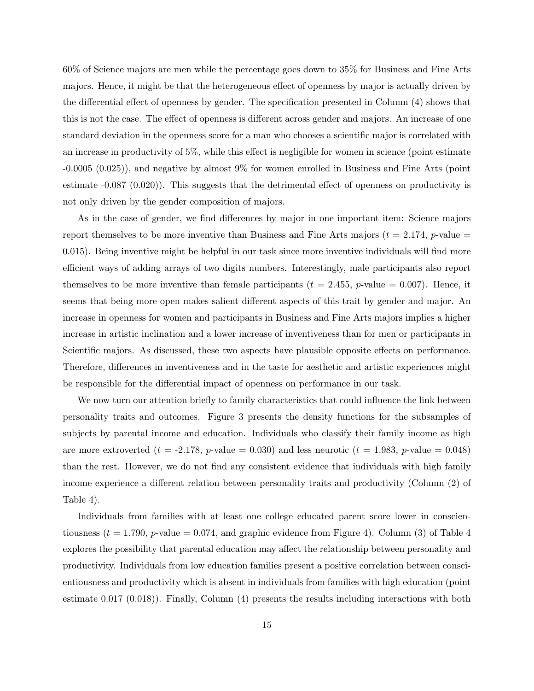60% of Science majors are men while the percentage goes down to 35% for Business and Fine Arts majors. Hence, it might be that the heterogeneous effect of openness by major is actually driven by the differential effect of openness by gender. The specification presented in Column (4) shows that this is not the case. The effect of openness is different across gender and majors. An increase of one standard deviation in the openness score for a man who chooses a scientific major is correlated with an increase in productivity of 5%, while this effect is negligible for women in science (point estimate -0.0005 (0.025)), and negative by almost 9% for women enrolled in Business and Fine Arts (point estimate -0.087 (0.020)). This suggests that the detrimental effect of openness on productivity is not only driven by the gender composition of majors.

As in the case of gender, we find differences by major in one important item: Science majors report themselves to be more inventive than Business and Fine Arts majors ( $t = 2.174$ , p-value = 0.015). Being inventive might be helpful in our task since more inventive individuals will find more efficient ways of adding arrays of two digits numbers. Interestingly, male participants also report themselves to be more inventive than female participants ( $t = 2.455$ , p-value = 0.007). Hence, it seems that being more open makes salient different aspects of this trait by gender and major. An increase in openness for women and participants in Business and Fine Arts majors implies a higher increase in artistic inclination and a lower increase of inventiveness than for men or participants in Scientific majors. As discussed, these two aspects have plausible opposite effects on performance. Therefore, differences in inventiveness and in the taste for aesthetic and artistic experiences might be responsible for the differential impact of openness on performance in our task.

We now turn our attention briefly to family characteristics that could influence the link between personality traits and outcomes. Figure 3 presents the density functions for the subsamples of subjects by parental income and education. Individuals who classify their family income as high are more extroverted ( $t = -2.178$ , p-value = 0.030) and less neurotic ( $t = 1.983$ , p-value = 0.048) than the rest. However, we do not find any consistent evidence that individuals with high family income experience a different relation between personality traits and productivity (Column (2) of Table 4).

Individuals from families with at least one college educated parent score lower in conscientiousness ( $t = 1.790$ , p-value = 0.074, and graphic evidence from Figure 4). Column (3) of Table 4 explores the possibility that parental education may affect the relationship between personality and productivity. Individuals from low education families present a positive correlation between conscientiousness and productivity which is absent in individuals from families with high education (point estimate 0.017 (0.018)). Finally, Column (4) presents the results including interactions with both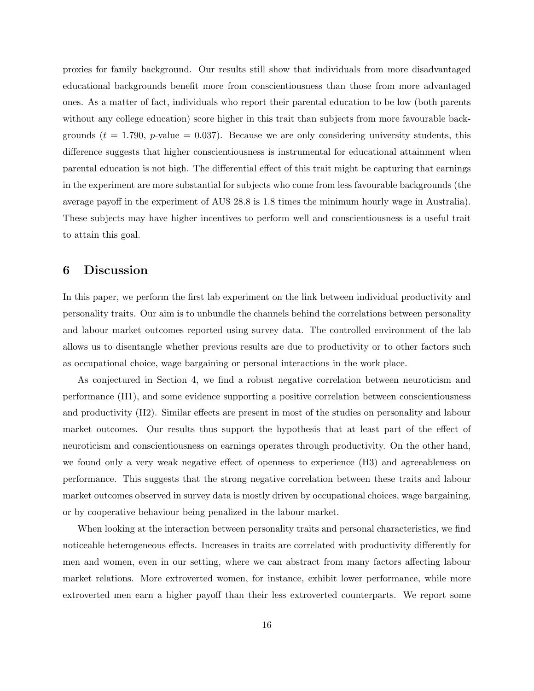proxies for family background. Our results still show that individuals from more disadvantaged educational backgrounds benefit more from conscientiousness than those from more advantaged ones. As a matter of fact, individuals who report their parental education to be low (both parents without any college education) score higher in this trait than subjects from more favourable backgrounds  $(t = 1.790, p-value = 0.037)$ . Because we are only considering university students, this difference suggests that higher conscientiousness is instrumental for educational attainment when parental education is not high. The differential effect of this trait might be capturing that earnings in the experiment are more substantial for subjects who come from less favourable backgrounds (the average payoff in the experiment of AU\$ 28.8 is 1.8 times the minimum hourly wage in Australia). These subjects may have higher incentives to perform well and conscientiousness is a useful trait to attain this goal.

# 6 Discussion

In this paper, we perform the first lab experiment on the link between individual productivity and personality traits. Our aim is to unbundle the channels behind the correlations between personality and labour market outcomes reported using survey data. The controlled environment of the lab allows us to disentangle whether previous results are due to productivity or to other factors such as occupational choice, wage bargaining or personal interactions in the work place.

As conjectured in Section 4, we find a robust negative correlation between neuroticism and performance (H1), and some evidence supporting a positive correlation between conscientiousness and productivity (H2). Similar effects are present in most of the studies on personality and labour market outcomes. Our results thus support the hypothesis that at least part of the effect of neuroticism and conscientiousness on earnings operates through productivity. On the other hand, we found only a very weak negative effect of openness to experience (H3) and agreeableness on performance. This suggests that the strong negative correlation between these traits and labour market outcomes observed in survey data is mostly driven by occupational choices, wage bargaining, or by cooperative behaviour being penalized in the labour market.

When looking at the interaction between personality traits and personal characteristics, we find noticeable heterogeneous effects. Increases in traits are correlated with productivity differently for men and women, even in our setting, where we can abstract from many factors affecting labour market relations. More extroverted women, for instance, exhibit lower performance, while more extroverted men earn a higher payoff than their less extroverted counterparts. We report some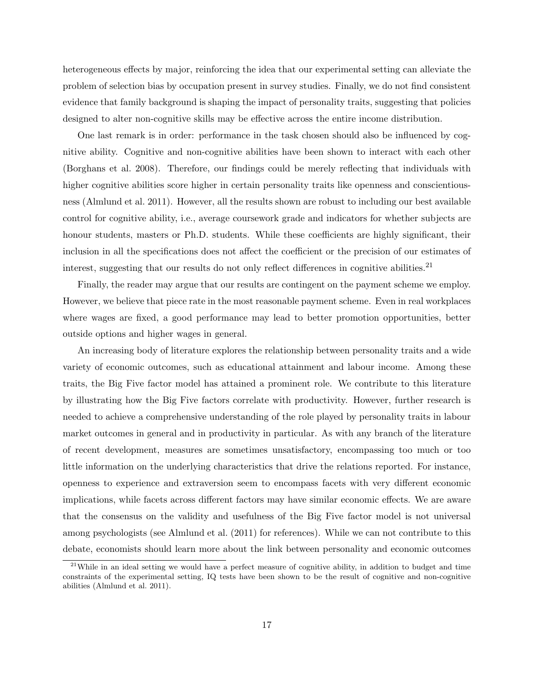heterogeneous effects by major, reinforcing the idea that our experimental setting can alleviate the problem of selection bias by occupation present in survey studies. Finally, we do not find consistent evidence that family background is shaping the impact of personality traits, suggesting that policies designed to alter non-cognitive skills may be effective across the entire income distribution.

One last remark is in order: performance in the task chosen should also be influenced by cognitive ability. Cognitive and non-cognitive abilities have been shown to interact with each other (Borghans et al. 2008). Therefore, our findings could be merely reflecting that individuals with higher cognitive abilities score higher in certain personality traits like openness and conscientiousness (Almlund et al. 2011). However, all the results shown are robust to including our best available control for cognitive ability, i.e., average coursework grade and indicators for whether subjects are honour students, masters or Ph.D. students. While these coefficients are highly significant, their inclusion in all the specifications does not affect the coefficient or the precision of our estimates of interest, suggesting that our results do not only reflect differences in cognitive abilities.<sup>21</sup>

Finally, the reader may argue that our results are contingent on the payment scheme we employ. However, we believe that piece rate in the most reasonable payment scheme. Even in real workplaces where wages are fixed, a good performance may lead to better promotion opportunities, better outside options and higher wages in general.

An increasing body of literature explores the relationship between personality traits and a wide variety of economic outcomes, such as educational attainment and labour income. Among these traits, the Big Five factor model has attained a prominent role. We contribute to this literature by illustrating how the Big Five factors correlate with productivity. However, further research is needed to achieve a comprehensive understanding of the role played by personality traits in labour market outcomes in general and in productivity in particular. As with any branch of the literature of recent development, measures are sometimes unsatisfactory, encompassing too much or too little information on the underlying characteristics that drive the relations reported. For instance, openness to experience and extraversion seem to encompass facets with very different economic implications, while facets across different factors may have similar economic effects. We are aware that the consensus on the validity and usefulness of the Big Five factor model is not universal among psychologists (see Almlund et al. (2011) for references). While we can not contribute to this debate, economists should learn more about the link between personality and economic outcomes

 $21$ While in an ideal setting we would have a perfect measure of cognitive ability, in addition to budget and time constraints of the experimental setting, IQ tests have been shown to be the result of cognitive and non-cognitive abilities (Almlund et al. 2011).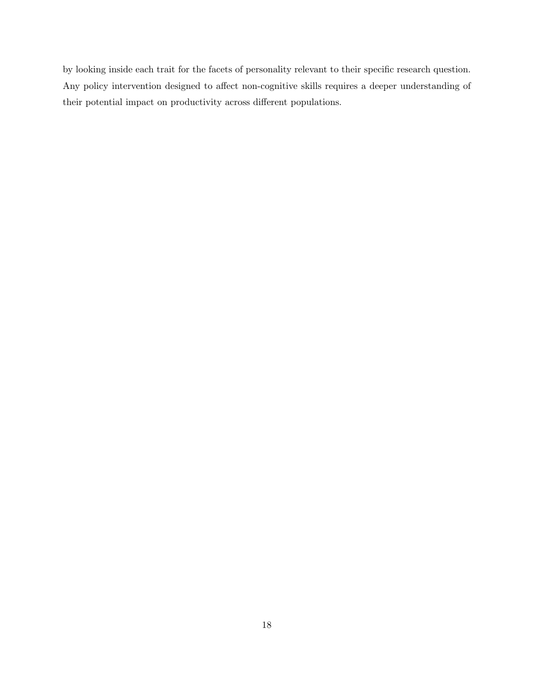by looking inside each trait for the facets of personality relevant to their specific research question. Any policy intervention designed to affect non-cognitive skills requires a deeper understanding of their potential impact on productivity across different populations.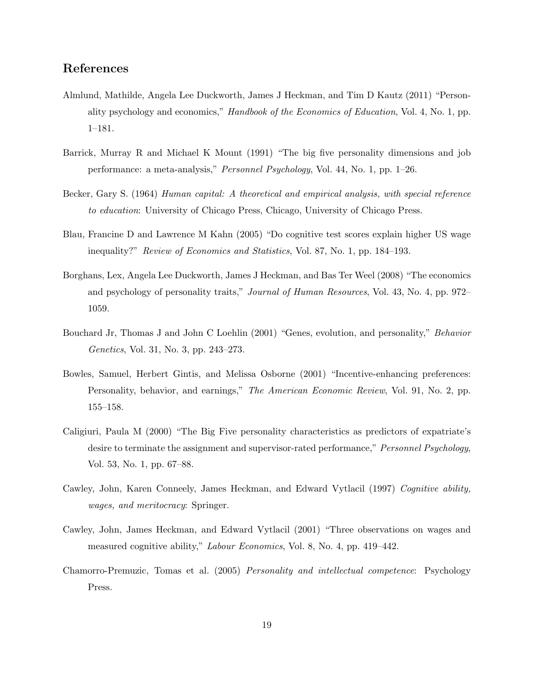# References

- Almlund, Mathilde, Angela Lee Duckworth, James J Heckman, and Tim D Kautz (2011) "Personality psychology and economics," Handbook of the Economics of Education, Vol. 4, No. 1, pp. 1–181.
- Barrick, Murray R and Michael K Mount (1991) "The big five personality dimensions and job performance: a meta-analysis," Personnel Psychology, Vol. 44, No. 1, pp. 1–26.
- Becker, Gary S. (1964) Human capital: A theoretical and empirical analysis, with special reference to education: University of Chicago Press, Chicago, University of Chicago Press.
- Blau, Francine D and Lawrence M Kahn (2005) "Do cognitive test scores explain higher US wage inequality?" Review of Economics and Statistics, Vol. 87, No. 1, pp. 184–193.
- Borghans, Lex, Angela Lee Duckworth, James J Heckman, and Bas Ter Weel (2008) "The economics and psychology of personality traits," Journal of Human Resources, Vol. 43, No. 4, pp. 972– 1059.
- Bouchard Jr, Thomas J and John C Loehlin (2001) "Genes, evolution, and personality," Behavior Genetics, Vol. 31, No. 3, pp. 243–273.
- Bowles, Samuel, Herbert Gintis, and Melissa Osborne (2001) "Incentive-enhancing preferences: Personality, behavior, and earnings," The American Economic Review, Vol. 91, No. 2, pp. 155–158.
- Caligiuri, Paula M (2000) "The Big Five personality characteristics as predictors of expatriate's desire to terminate the assignment and supervisor-rated performance," Personnel Psychology, Vol. 53, No. 1, pp. 67–88.
- Cawley, John, Karen Conneely, James Heckman, and Edward Vytlacil (1997) Cognitive ability, wages, and meritocracy: Springer.
- Cawley, John, James Heckman, and Edward Vytlacil (2001) "Three observations on wages and measured cognitive ability," Labour Economics, Vol. 8, No. 4, pp. 419–442.
- Chamorro-Premuzic, Tomas et al. (2005) Personality and intellectual competence: Psychology Press.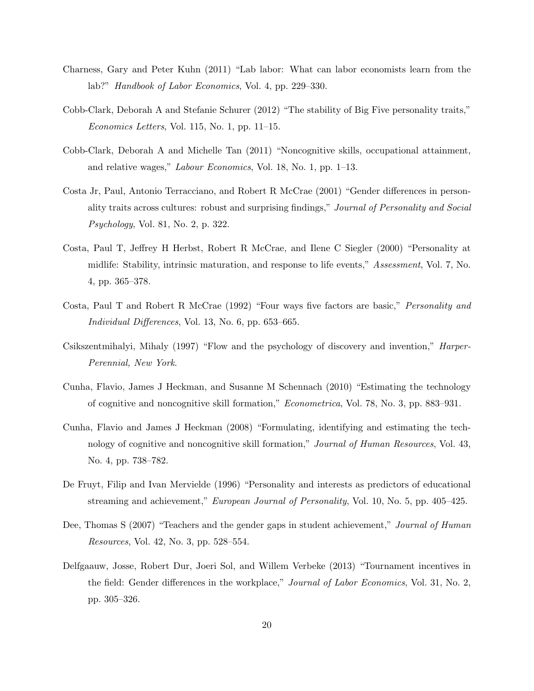- Charness, Gary and Peter Kuhn (2011) "Lab labor: What can labor economists learn from the lab?" Handbook of Labor Economics, Vol. 4, pp. 229–330.
- Cobb-Clark, Deborah A and Stefanie Schurer (2012) "The stability of Big Five personality traits," Economics Letters, Vol. 115, No. 1, pp. 11–15.
- Cobb-Clark, Deborah A and Michelle Tan (2011) "Noncognitive skills, occupational attainment, and relative wages," Labour Economics, Vol. 18, No. 1, pp. 1–13.
- Costa Jr, Paul, Antonio Terracciano, and Robert R McCrae (2001) "Gender differences in personality traits across cultures: robust and surprising findings," Journal of Personality and Social Psychology, Vol. 81, No. 2, p. 322.
- Costa, Paul T, Jeffrey H Herbst, Robert R McCrae, and Ilene C Siegler (2000) "Personality at midlife: Stability, intrinsic maturation, and response to life events," Assessment, Vol. 7, No. 4, pp. 365–378.
- Costa, Paul T and Robert R McCrae (1992) "Four ways five factors are basic," Personality and Individual Differences, Vol. 13, No. 6, pp. 653–665.
- Csikszentmihalyi, Mihaly (1997) "Flow and the psychology of discovery and invention," Harper-Perennial, New York.
- Cunha, Flavio, James J Heckman, and Susanne M Schennach (2010) "Estimating the technology of cognitive and noncognitive skill formation," Econometrica, Vol. 78, No. 3, pp. 883–931.
- Cunha, Flavio and James J Heckman (2008) "Formulating, identifying and estimating the technology of cognitive and noncognitive skill formation," Journal of Human Resources, Vol. 43, No. 4, pp. 738–782.
- De Fruyt, Filip and Ivan Mervielde (1996) "Personality and interests as predictors of educational streaming and achievement," European Journal of Personality, Vol. 10, No. 5, pp. 405–425.
- Dee, Thomas S (2007) "Teachers and the gender gaps in student achievement," Journal of Human Resources, Vol. 42, No. 3, pp. 528–554.
- Delfgaauw, Josse, Robert Dur, Joeri Sol, and Willem Verbeke (2013) "Tournament incentives in the field: Gender differences in the workplace," *Journal of Labor Economics*, Vol. 31, No. 2, pp. 305–326.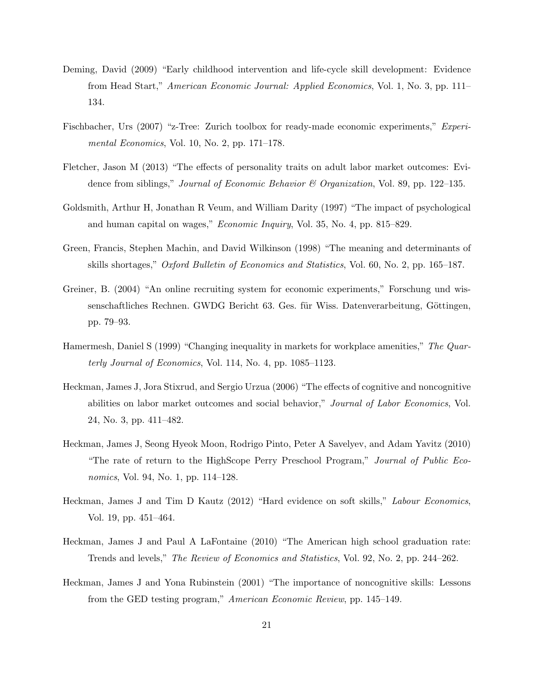- Deming, David (2009) "Early childhood intervention and life-cycle skill development: Evidence from Head Start," American Economic Journal: Applied Economics, Vol. 1, No. 3, pp. 111– 134.
- Fischbacher, Urs (2007) "z-Tree: Zurich toolbox for ready-made economic experiments," Experimental Economics, Vol. 10, No. 2, pp. 171–178.
- Fletcher, Jason M (2013) "The effects of personality traits on adult labor market outcomes: Evidence from siblings," *Journal of Economic Behavior & Organization*, Vol. 89, pp. 122–135.
- Goldsmith, Arthur H, Jonathan R Veum, and William Darity (1997) "The impact of psychological and human capital on wages," Economic Inquiry, Vol. 35, No. 4, pp. 815–829.
- Green, Francis, Stephen Machin, and David Wilkinson (1998) "The meaning and determinants of skills shortages," Oxford Bulletin of Economics and Statistics, Vol. 60, No. 2, pp. 165–187.
- Greiner, B. (2004) "An online recruiting system for economic experiments," Forschung und wissenschaftliches Rechnen. GWDG Bericht 63. Ges. für Wiss. Datenverarbeitung, Göttingen, pp. 79–93.
- Hamermesh, Daniel S (1999) "Changing inequality in markets for workplace amenities," The Quarterly Journal of Economics, Vol. 114, No. 4, pp. 1085–1123.
- Heckman, James J, Jora Stixrud, and Sergio Urzua (2006) "The effects of cognitive and noncognitive abilities on labor market outcomes and social behavior," Journal of Labor Economics, Vol. 24, No. 3, pp. 411–482.
- Heckman, James J, Seong Hyeok Moon, Rodrigo Pinto, Peter A Savelyev, and Adam Yavitz (2010) "The rate of return to the HighScope Perry Preschool Program," Journal of Public Economics, Vol. 94, No. 1, pp. 114–128.
- Heckman, James J and Tim D Kautz (2012) "Hard evidence on soft skills," Labour Economics, Vol. 19, pp. 451–464.
- Heckman, James J and Paul A LaFontaine (2010) "The American high school graduation rate: Trends and levels," The Review of Economics and Statistics, Vol. 92, No. 2, pp. 244–262.
- Heckman, James J and Yona Rubinstein (2001) "The importance of noncognitive skills: Lessons from the GED testing program," American Economic Review, pp. 145–149.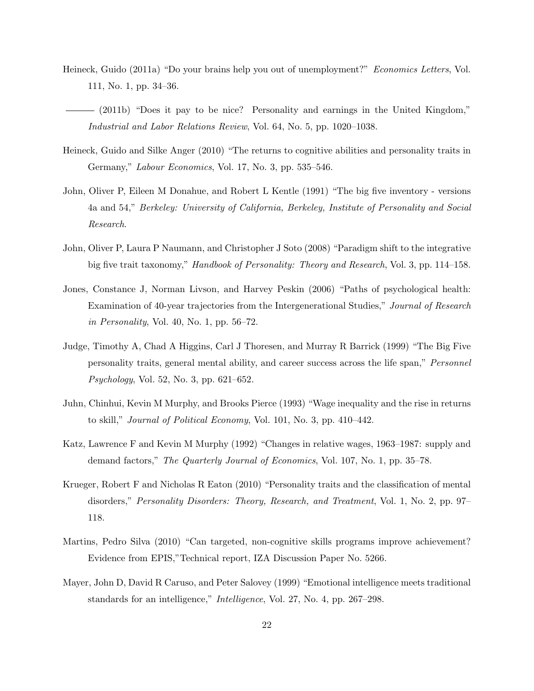- Heineck, Guido (2011a) "Do your brains help you out of unemployment?" Economics Letters, Vol. 111, No. 1, pp. 34–36.
- (2011b) "Does it pay to be nice? Personality and earnings in the United Kingdom," Industrial and Labor Relations Review, Vol. 64, No. 5, pp. 1020–1038.
- Heineck, Guido and Silke Anger (2010) "The returns to cognitive abilities and personality traits in Germany," Labour Economics, Vol. 17, No. 3, pp. 535–546.
- John, Oliver P, Eileen M Donahue, and Robert L Kentle (1991) "The big five inventory versions 4a and 54," Berkeley: University of California, Berkeley, Institute of Personality and Social Research.
- John, Oliver P, Laura P Naumann, and Christopher J Soto (2008) "Paradigm shift to the integrative big five trait taxonomy," Handbook of Personality: Theory and Research, Vol. 3, pp. 114–158.
- Jones, Constance J, Norman Livson, and Harvey Peskin (2006) "Paths of psychological health: Examination of 40-year trajectories from the Intergenerational Studies," Journal of Research in Personality, Vol. 40, No. 1, pp.  $56-72$ .
- Judge, Timothy A, Chad A Higgins, Carl J Thoresen, and Murray R Barrick (1999) "The Big Five personality traits, general mental ability, and career success across the life span," Personnel Psychology, Vol. 52, No. 3, pp. 621–652.
- Juhn, Chinhui, Kevin M Murphy, and Brooks Pierce (1993) "Wage inequality and the rise in returns to skill," Journal of Political Economy, Vol. 101, No. 3, pp. 410–442.
- Katz, Lawrence F and Kevin M Murphy (1992) "Changes in relative wages, 1963–1987: supply and demand factors," The Quarterly Journal of Economics, Vol. 107, No. 1, pp. 35–78.
- Krueger, Robert F and Nicholas R Eaton (2010) "Personality traits and the classification of mental disorders," Personality Disorders: Theory, Research, and Treatment, Vol. 1, No. 2, pp. 97– 118.
- Martins, Pedro Silva (2010) "Can targeted, non-cognitive skills programs improve achievement? Evidence from EPIS,"Technical report, IZA Discussion Paper No. 5266.
- Mayer, John D, David R Caruso, and Peter Salovey (1999) "Emotional intelligence meets traditional standards for an intelligence," *Intelligence*, Vol. 27, No. 4, pp. 267-298.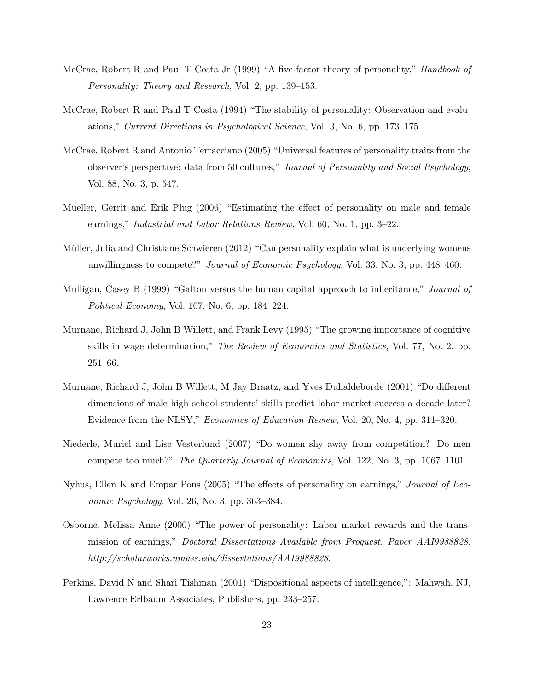- McCrae, Robert R and Paul T Costa Jr (1999) "A five-factor theory of personality," *Handbook of* Personality: Theory and Research, Vol. 2, pp. 139–153.
- McCrae, Robert R and Paul T Costa (1994) "The stability of personality: Observation and evaluations," Current Directions in Psychological Science, Vol. 3, No. 6, pp. 173–175.
- McCrae, Robert R and Antonio Terracciano (2005) "Universal features of personality traits from the observer's perspective: data from 50 cultures," Journal of Personality and Social Psychology, Vol. 88, No. 3, p. 547.
- Mueller, Gerrit and Erik Plug (2006) "Estimating the effect of personality on male and female earnings," Industrial and Labor Relations Review, Vol. 60, No. 1, pp. 3–22.
- Müller, Julia and Christiane Schwieren (2012) "Can personality explain what is underlying womens unwillingness to compete?" Journal of Economic Psychology, Vol. 33, No. 3, pp. 448–460.
- Mulligan, Casey B (1999) "Galton versus the human capital approach to inheritance," *Journal of* Political Economy, Vol. 107, No. 6, pp. 184–224.
- Murnane, Richard J, John B Willett, and Frank Levy (1995) "The growing importance of cognitive skills in wage determination," The Review of Economics and Statistics, Vol. 77, No. 2, pp. 251–66.
- Murnane, Richard J, John B Willett, M Jay Braatz, and Yves Duhaldeborde (2001) "Do different dimensions of male high school students' skills predict labor market success a decade later? Evidence from the NLSY," Economics of Education Review, Vol. 20, No. 4, pp. 311–320.
- Niederle, Muriel and Lise Vesterlund (2007) "Do women shy away from competition? Do men compete too much?" The Quarterly Journal of Economics, Vol. 122, No. 3, pp. 1067–1101.
- Nyhus, Ellen K and Empar Pons (2005) "The effects of personality on earnings," Journal of Economic Psychology, Vol. 26, No. 3, pp. 363–384.
- Osborne, Melissa Anne (2000) "The power of personality: Labor market rewards and the transmission of earnings," Doctoral Dissertations Available from Proquest. Paper AAI9988828. http://scholarworks.umass.edu/dissertations/AAI9988828.
- Perkins, David N and Shari Tishman (2001) "Dispositional aspects of intelligence,": Mahwah, NJ, Lawrence Erlbaum Associates, Publishers, pp. 233–257.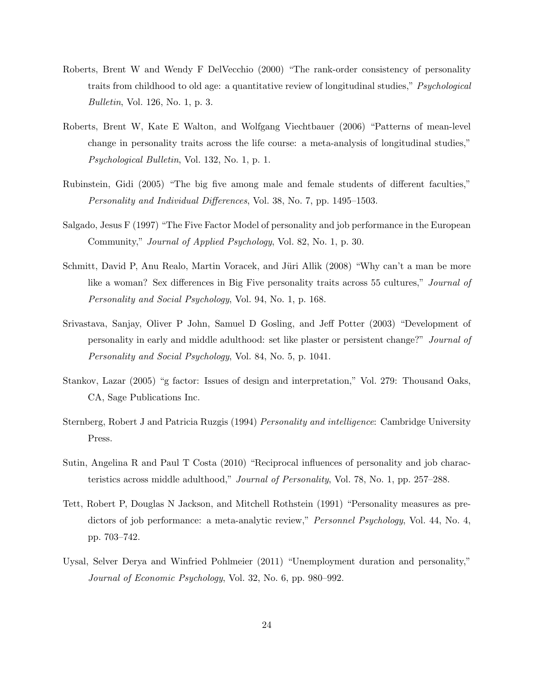- Roberts, Brent W and Wendy F DelVecchio (2000) "The rank-order consistency of personality traits from childhood to old age: a quantitative review of longitudinal studies," Psychological Bulletin, Vol. 126, No. 1, p. 3.
- Roberts, Brent W, Kate E Walton, and Wolfgang Viechtbauer (2006) "Patterns of mean-level change in personality traits across the life course: a meta-analysis of longitudinal studies," Psychological Bulletin, Vol. 132, No. 1, p. 1.
- Rubinstein, Gidi (2005) "The big five among male and female students of different faculties," Personality and Individual Differences, Vol. 38, No. 7, pp. 1495–1503.
- Salgado, Jesus F (1997) "The Five Factor Model of personality and job performance in the European Community," Journal of Applied Psychology, Vol. 82, No. 1, p. 30.
- Schmitt, David P, Anu Realo, Martin Voracek, and Jüri Allik (2008) "Why can't a man be more like a woman? Sex differences in Big Five personality traits across 55 cultures," *Journal of* Personality and Social Psychology, Vol. 94, No. 1, p. 168.
- Srivastava, Sanjay, Oliver P John, Samuel D Gosling, and Jeff Potter (2003) "Development of personality in early and middle adulthood: set like plaster or persistent change?" Journal of Personality and Social Psychology, Vol. 84, No. 5, p. 1041.
- Stankov, Lazar (2005) "g factor: Issues of design and interpretation," Vol. 279: Thousand Oaks, CA, Sage Publications Inc.
- Sternberg, Robert J and Patricia Ruzgis (1994) Personality and intelligence: Cambridge University Press.
- Sutin, Angelina R and Paul T Costa (2010) "Reciprocal influences of personality and job characteristics across middle adulthood," Journal of Personality, Vol. 78, No. 1, pp. 257–288.
- Tett, Robert P, Douglas N Jackson, and Mitchell Rothstein (1991) "Personality measures as predictors of job performance: a meta-analytic review," *Personnel Psychology*, Vol. 44, No. 4, pp. 703–742.
- Uysal, Selver Derya and Winfried Pohlmeier (2011) "Unemployment duration and personality," Journal of Economic Psychology, Vol. 32, No. 6, pp. 980–992.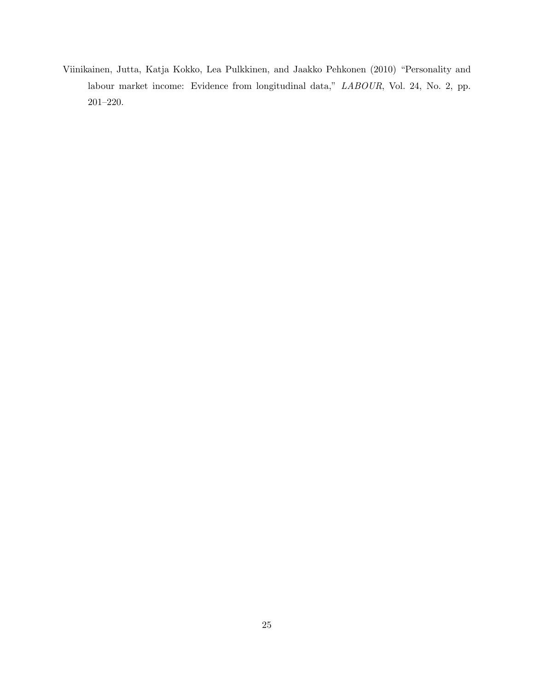Viinikainen, Jutta, Katja Kokko, Lea Pulkkinen, and Jaakko Pehkonen (2010) "Personality and labour market income: Evidence from longitudinal data," LABOUR, Vol. 24, No. 2, pp. 201–220.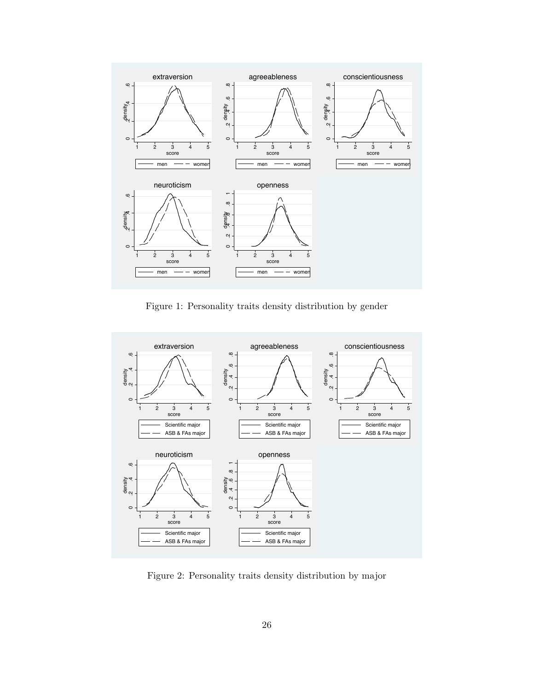

Figure 1: Personality traits density distribution by gender



Figure 2: Personality traits density distribution by major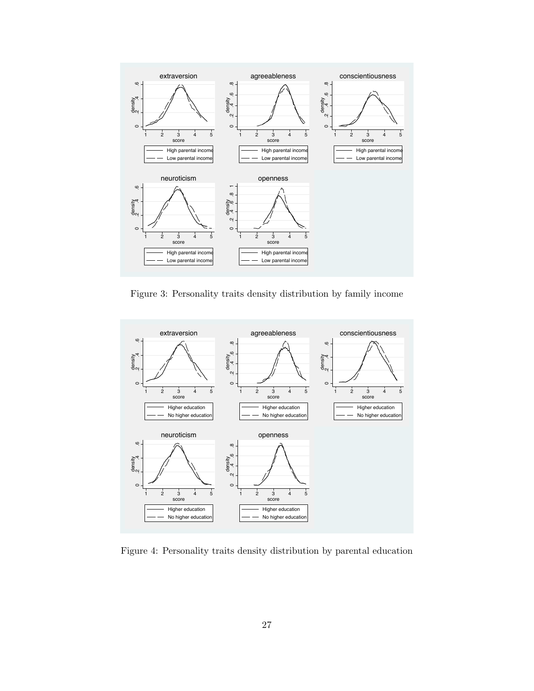

Figure 3: Personality traits density distribution by family income



Figure 4: Personality traits density distribution by parental education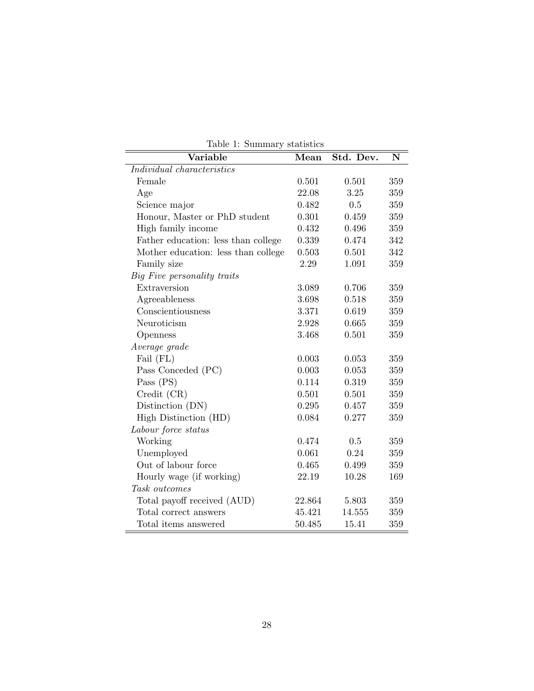| Variable                            | Mean   | Std. Dev. | N       |
|-------------------------------------|--------|-----------|---------|
| Individual characteristics          |        |           |         |
| Female                              | 0.501  | 0.501     | 359     |
| Age                                 | 22.08  | 3.25      | 359     |
| Science major                       | 0.482  | 0.5       | 359     |
| Honour, Master or PhD student       | 0.301  | 0.459     | 359     |
| High family income                  | 0.432  | 0.496     | 359     |
| Father education: less than college | 0.339  | 0.474     | 342     |
| Mother education: less than college | 0.503  | 0.501     | 342     |
| Family size                         | 2.29   | 1.091     | 359     |
| Big Five personality traits         |        |           |         |
| Extraversion                        | 3.089  | 0.706     | 359     |
| Agreeableness                       | 3.698  | 0.518     | 359     |
| Conscientiousness                   | 3.371  | 0.619     | 359     |
| Neuroticism                         | 2.928  | 0.665     | 359     |
| Openness                            | 3.468  | 0.501     | 359     |
| Average grade                       |        |           |         |
| Fail (FL)                           | 0.003  | 0.053     | 359     |
| Pass Conceded (PC)                  | 0.003  | 0.053     | 359     |
| Pass $(PS)$                         | 0.114  | 0.319     | 359     |
| Credit (CR)                         | 0.501  | 0.501     | 359     |
| Distinction (DN)                    | 0.295  | 0.457     | 359     |
| High Distinction (HD)               | 0.084  | 0.277     | 359     |
| Labour force status                 |        |           |         |
| Working                             | 0.474  | 0.5       | 359     |
| Unemployed                          | 0.061  | 0.24      | 359     |
| Out of labour force                 | 0.465  | 0.499     | 359     |
| Hourly wage (if working)            | 22.19  | 10.28     | 169     |
| Task outcomes                       |        |           |         |
| Total payoff received (AUD)         | 22.864 | 5.803     | 359     |
| Total correct answers               | 45.421 | 14.555    | $359\,$ |
| Total items answered                | 50.485 | 15.41     | 359     |

Table 1: Summary statistics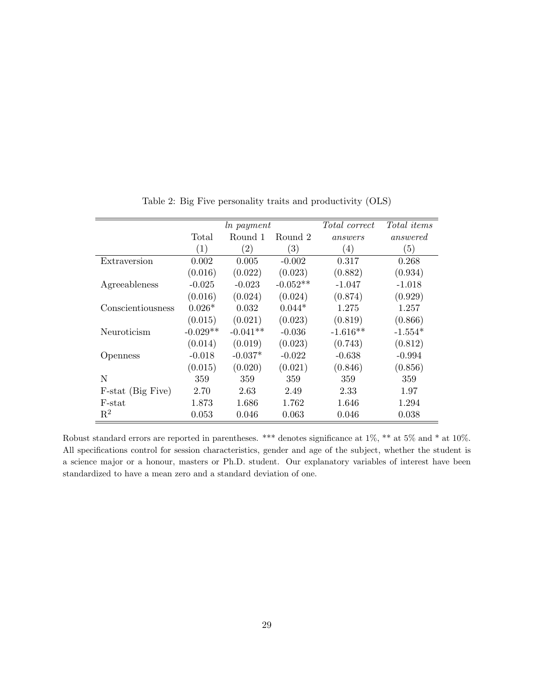|                   | ln payment |                   |                   | <i>Total correct</i> | Total items |
|-------------------|------------|-------------------|-------------------|----------------------|-------------|
|                   | Total      | Round 1           | Round 2           | answers              | answered    |
|                   | (1)        | $\left( 2\right)$ | $\left( 3\right)$ | (4)                  | (5)         |
| Extraversion      | 0.002      | 0.005             | $-0.002$          | 0.317                | 0.268       |
|                   | (0.016)    | (0.022)           | (0.023)           | (0.882)              | (0.934)     |
| Agreeableness     | $-0.025$   | $-0.023$          | $-0.052**$        | $-1.047$             | $-1.018$    |
|                   | (0.016)    | (0.024)           | (0.024)           | (0.874)              | (0.929)     |
| Conscientiousness | $0.026*$   | 0.032             | $0.044*$          | 1.275                | 1.257       |
|                   | (0.015)    | (0.021)           | (0.023)           | (0.819)              | (0.866)     |
| Neuroticism       | $-0.029**$ | $-0.041**$        | $-0.036$          | $-1.616**$           | $-1.554*$   |
|                   | (0.014)    | (0.019)           | (0.023)           | (0.743)              | (0.812)     |
| Openness          | $-0.018$   | $-0.037*$         | $-0.022$          | $-0.638$             | $-0.994$    |
|                   | (0.015)    | (0.020)           | (0.021)           | (0.846)              | (0.856)     |
| N                 | 359        | 359               | 359               | 359                  | 359         |
| F-stat (Big Five) | 2.70       | 2.63              | 2.49              | 2.33                 | 1.97        |
| F-stat            | 1.873      | 1.686             | 1.762             | 1.646                | 1.294       |
| $\mathbf{R}^2$    | 0.053      | 0.046             | 0.063             | 0.046                | 0.038       |

Table 2: Big Five personality traits and productivity (OLS)

Robust standard errors are reported in parentheses. \*\*\* denotes significance at 1%, \*\* at 5% and \* at 10%. All specifications control for session characteristics, gender and age of the subject, whether the student is a science major or a honour, masters or Ph.D. student. Our explanatory variables of interest have been standardized to have a mean zero and a standard deviation of one.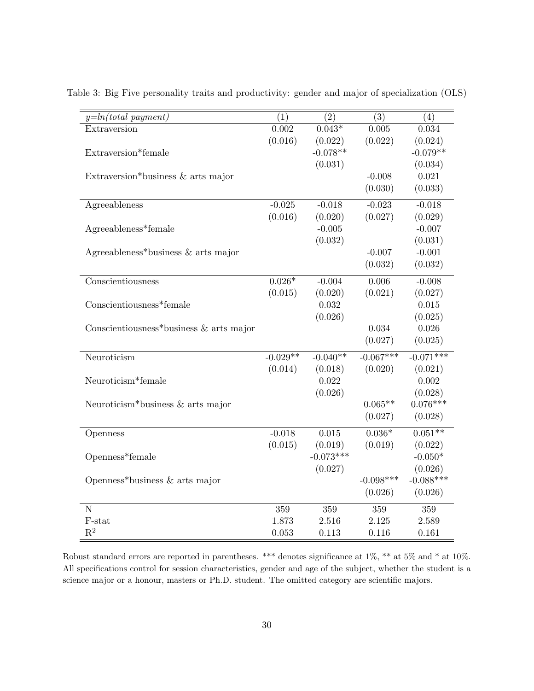| $y=ln(total\ payment)$                    | $\overline{(1)}$ | $\overline{(2)}$ | $\overline{(3)}$ | (4)                 |
|-------------------------------------------|------------------|------------------|------------------|---------------------|
| Extraversion                              | 0.002            | $0.043*$         | 0.005            | 0.034               |
|                                           | (0.016)          | (0.022)          | (0.022)          | (0.024)             |
| Extraversion*female                       |                  | $-0.078**$       |                  | $-0.079**$          |
|                                           |                  | (0.031)          |                  | (0.034)             |
| Extraversion*business & arts major        |                  |                  | $-0.008$         | 0.021               |
|                                           |                  |                  | (0.030)          | (0.033)             |
| Agreeableness                             | $-0.025$         | $-0.018$         | $-0.023$         | $-0.018$            |
|                                           | (0.016)          | (0.020)          | (0.027)          | (0.029)             |
| Agreeableness*female                      |                  | $-0.005$         |                  | $-0.007$            |
|                                           |                  |                  |                  |                     |
|                                           |                  | (0.032)          | $-0.007$         | (0.031)<br>$-0.001$ |
| Agreeableness*business $&$ arts major     |                  |                  |                  |                     |
|                                           |                  |                  | (0.032)          | (0.032)             |
| Conscientiousness                         | $0.026*$         | $-0.004$         | 0.006            | $-0.008$            |
|                                           | (0.015)          | (0.020)          | (0.021)          | (0.027)             |
| Conscientiousness*female                  |                  | 0.032            |                  | 0.015               |
|                                           |                  | (0.026)          |                  | (0.025)             |
| Conscientiousness*business $&$ arts major |                  |                  | 0.034            | 0.026               |
|                                           |                  |                  | (0.027)          | (0.025)             |
| Neuroticism                               | $-0.029**$       | $-0.040**$       | $-0.067***$      | $-0.071***$         |
|                                           | (0.014)          | (0.018)          | (0.020)          | (0.021)             |
| Neuroticism*female                        |                  | 0.022            |                  | 0.002               |
|                                           |                  | (0.026)          |                  | (0.028)             |
| Neuroticism*business $\&$ arts major      |                  |                  | $0.065**$        | $0.076***$          |
|                                           |                  |                  | (0.027)          | (0.028)             |
|                                           |                  |                  |                  |                     |
| Openness                                  | $-0.018$         | 0.015            | $0.036*$         | $0.051***$          |
|                                           | (0.015)          | (0.019)          | (0.019)          | (0.022)             |
| Openness*female                           |                  | $-0.073***$      |                  | $-0.050*$           |
|                                           |                  | (0.027)          |                  | (0.026)             |
| Openness*business $\&$ arts major         |                  |                  | $-0.098***$      | $-0.088***$         |
|                                           |                  |                  | (0.026)          | (0.026)             |
| $\overline{\text{N}}$                     | 359              | 359              | 359              | $359\,$             |
| F-stat                                    | 1.873            | 2.516            | 2.125            | 2.589               |
| $\mathbf{R}^2$                            | 0.053            | 0.113            | 0.116            | 0.161               |

Table 3: Big Five personality traits and productivity: gender and major of specialization (OLS)

Robust standard errors are reported in parentheses. \*\*\* denotes significance at 1%, \*\* at 5% and \* at 10%. All specifications control for session characteristics, gender and age of the subject, whether the student is a science major or a honour, masters or Ph.D. student. The omitted category are scientific majors.